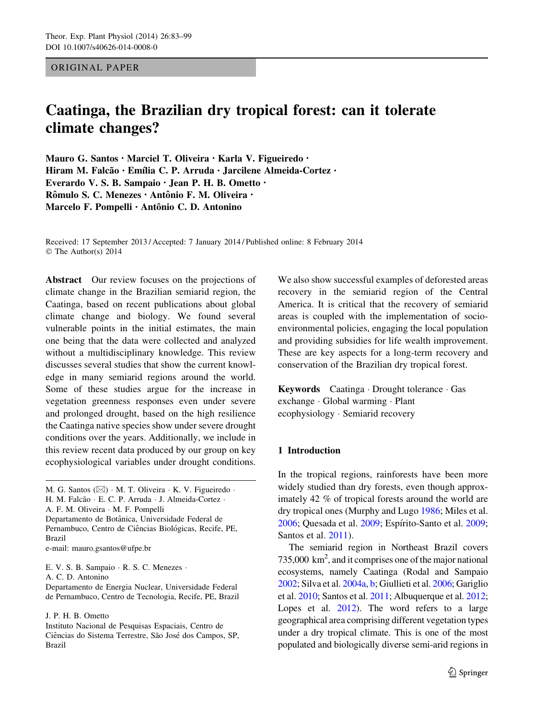# ORIGINAL PAPER

# Caatinga, the Brazilian dry tropical forest: can it tolerate climate changes?

Mauro G. Santos • Marciel T. Oliveira • Karla V. Figueiredo • Hiram M. Falcão · Emília C. P. Arruda · Jarcilene Almeida-Cortez · Everardo V. S. B. Sampaio • Jean P. H. B. Ometto • Rômulo S. C. Menezes · Antônio F. M. Oliveira · Marcelo F. Pompelli · Antônio C. D. Antonino

Received: 17 September 2013 / Accepted: 7 January 2014 / Published online: 8 February 2014  $\circ$  The Author(s) 2014

Abstract Our review focuses on the projections of climate change in the Brazilian semiarid region, the Caatinga, based on recent publications about global climate change and biology. We found several vulnerable points in the initial estimates, the main one being that the data were collected and analyzed without a multidisciplinary knowledge. This review discusses several studies that show the current knowledge in many semiarid regions around the world. Some of these studies argue for the increase in vegetation greenness responses even under severe and prolonged drought, based on the high resilience the Caatinga native species show under severe drought conditions over the years. Additionally, we include in this review recent data produced by our group on key ecophysiological variables under drought conditions.

E. V. S. B. Sampaio · R. S. C. Menezes · A. C. D. Antonino Departamento de Energia Nuclear, Universidade Federal de Pernambuco, Centro de Tecnologia, Recife, PE, Brazil

J. P. H. B. Ometto

Instituto Nacional de Pesquisas Espaciais, Centro de Ciências do Sistema Terrestre, São José dos Campos, SP, Brazil

We also show successful examples of deforested areas recovery in the semiarid region of the Central America. It is critical that the recovery of semiarid areas is coupled with the implementation of socioenvironmental policies, engaging the local population and providing subsidies for life wealth improvement. These are key aspects for a long-term recovery and conservation of the Brazilian dry tropical forest.

Keywords Caatinga - Drought tolerance - Gas exchange - Global warming - Plant ecophysiology - Semiarid recovery

#### 1 Introduction

In the tropical regions, rainforests have been more widely studied than dry forests, even though approximately 42 % of tropical forests around the world are dry tropical ones (Murphy and Lugo [1986](#page-15-0); Miles et al. [2006;](#page-15-0) Quesada et al. [2009](#page-14-0); Espírito-Santo et al. 2009; Santos et al. [2011\)](#page-16-0).

The semiarid region in Northeast Brazil covers 735,000  $\mathrm{km}^2$ , and it comprises one of the major national ecosystems, namely Caatinga (Rodal and Sampaio [2002](#page-16-0); Silva et al. [2004a](#page-16-0), [b](#page-16-0); Giullieti et al. [2006](#page-14-0); Gariglio et al. [2010](#page-14-0); Santos et al. [2011;](#page-16-0) Albuquerque et al. [2012;](#page-13-0) Lopes et al. [2012](#page-15-0)). The word refers to a large geographical area comprising different vegetation types under a dry tropical climate. This is one of the most populated and biologically diverse semi-arid regions in

M. G. Santos ( $\boxtimes$ ) · M. T. Oliveira · K. V. Figueiredo · H. M. Falcão · E. C. P. Arruda · J. Almeida-Cortez · A. F. M. Oliveira - M. F. Pompelli Departamento de Botânica, Universidade Federal de Pernambuco, Centro de Ciências Biológicas, Recife, PE, Brazil e-mail: mauro.gsantos@ufpe.br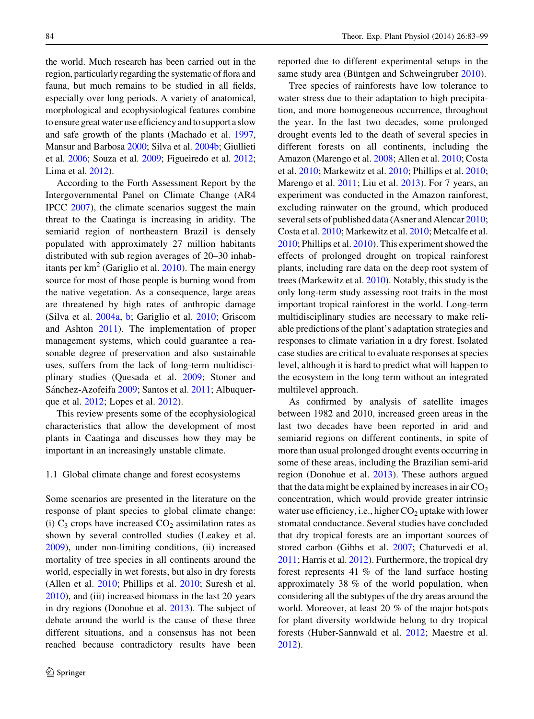the world. Much research has been carried out in the region, particularly regarding the systematic of flora and fauna, but much remains to be studied in all fields, especially over long periods. A variety of anatomical, morphological and ecophysiological features combine to ensure great water use efficiency and to support a slow and safe growth of the plants (Machado et al. [1997,](#page-15-0) Mansur and Barbosa [2000](#page-15-0); Silva et al. [2004b](#page-16-0); Giullieti et al. [2006](#page-14-0); Souza et al. [2009](#page-16-0); Figueiredo et al. [2012](#page-14-0); Lima et al. [2012](#page-15-0)).

According to the Forth Assessment Report by the Intergovernmental Panel on Climate Change (AR4 IPCC [2007\)](#page-14-0), the climate scenarios suggest the main threat to the Caatinga is increasing in aridity. The semiarid region of northeastern Brazil is densely populated with approximately 27 million habitants distributed with sub region averages of 20–30 inhabitants per  $km^2$  (Gariglio et al. [2010](#page-14-0)). The main energy source for most of those people is burning wood from the native vegetation. As a consequence, large areas are threatened by high rates of anthropic damage (Silva et al. [2004a,](#page-16-0) [b;](#page-16-0) Gariglio et al. [2010](#page-14-0); Griscom and Ashton [2011](#page-14-0)). The implementation of proper management systems, which could guarantee a reasonable degree of preservation and also sustainable uses, suffers from the lack of long-term multidisciplinary studies (Quesada et al. [2009](#page-15-0); Stoner and Sánchez-Azofeifa [2009;](#page-16-0) Santos et al. [2011](#page-16-0); Albuquerque et al. [2012;](#page-13-0) Lopes et al. [2012](#page-15-0)).

This review presents some of the ecophysiological characteristics that allow the development of most plants in Caatinga and discusses how they may be important in an increasingly unstable climate.

#### 1.1 Global climate change and forest ecosystems

Some scenarios are presented in the literature on the response of plant species to global climate change: (i)  $C_3$  crops have increased  $CO_2$  assimilation rates as shown by several controlled studies (Leakey et al. [2009\)](#page-15-0), under non-limiting conditions, (ii) increased mortality of tree species in all continents around the world, especially in wet forests, but also in dry forests (Allen et al. [2010](#page-13-0); Phillips et al. [2010;](#page-15-0) Suresh et al. [2010\)](#page-16-0), and (iii) increased biomass in the last 20 years in dry regions (Donohue et al. [2013](#page-14-0)). The subject of debate around the world is the cause of these three different situations, and a consensus has not been reached because contradictory results have been reported due to different experimental setups in the same study area (Büntgen and Schweingruber [2010\)](#page-14-0).

Tree species of rainforests have low tolerance to water stress due to their adaptation to high precipitation, and more homogeneous occurrence, throughout the year. In the last two decades, some prolonged drought events led to the death of several species in different forests on all continents, including the Amazon (Marengo et al. [2008;](#page-15-0) Allen et al. [2010;](#page-13-0) Costa et al. [2010](#page-14-0); Markewitz et al. [2010](#page-15-0); Phillips et al. [2010;](#page-15-0) Marengo et al. [2011](#page-15-0); Liu et al. [2013](#page-15-0)). For 7 years, an experiment was conducted in the Amazon rainforest, excluding rainwater on the ground, which produced several sets of published data (Asner and Alencar [2010;](#page-13-0) Costa et al. [2010;](#page-14-0) Markewitz et al. [2010;](#page-15-0) Metcalfe et al. [2010;](#page-15-0) Phillips et al. [2010](#page-15-0)). This experiment showed the effects of prolonged drought on tropical rainforest plants, including rare data on the deep root system of trees (Markewitz et al. [2010](#page-15-0)). Notably, this study is the only long-term study assessing root traits in the most important tropical rainforest in the world. Long-term multidisciplinary studies are necessary to make reliable predictions of the plant's adaptation strategies and responses to climate variation in a dry forest. Isolated case studies are critical to evaluate responses at species level, although it is hard to predict what will happen to the ecosystem in the long term without an integrated multilevel approach.

As confirmed by analysis of satellite images between 1982 and 2010, increased green areas in the last two decades have been reported in arid and semiarid regions on different continents, in spite of more than usual prolonged drought events occurring in some of these areas, including the Brazilian semi-arid region (Donohue et al. [2013\)](#page-14-0). These authors argued that the data might be explained by increases in air  $CO<sub>2</sub>$ concentration, which would provide greater intrinsic water use efficiency, i.e., higher  $CO<sub>2</sub>$  uptake with lower stomatal conductance. Several studies have concluded that dry tropical forests are an important sources of stored carbon (Gibbs et al. [2007;](#page-14-0) Chaturvedi et al. [2011;](#page-14-0) Harris et al. [2012\)](#page-14-0). Furthermore, the tropical dry forest represents 41 % of the land surface hosting approximately 38 % of the world population, when considering all the subtypes of the dry areas around the world. Moreover, at least 20 % of the major hotspots for plant diversity worldwide belong to dry tropical forests (Huber-Sannwald et al. [2012;](#page-14-0) Maestre et al. [2012\)](#page-15-0).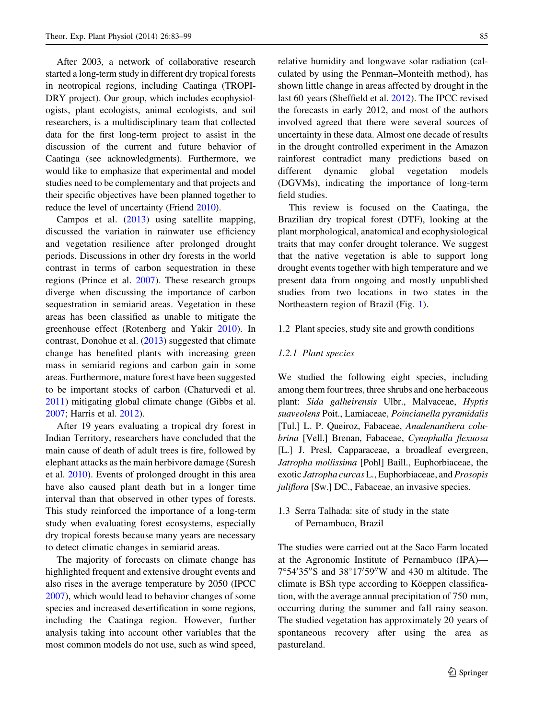After 2003, a network of collaborative research started a long-term study in different dry tropical forests in neotropical regions, including Caatinga (TROPI-DRY project). Our group, which includes ecophysiologists, plant ecologists, animal ecologists, and soil researchers, is a multidisciplinary team that collected data for the first long-term project to assist in the discussion of the current and future behavior of Caatinga (see acknowledgments). Furthermore, we would like to emphasize that experimental and model studies need to be complementary and that projects and their specific objectives have been planned together to reduce the level of uncertainty (Friend [2010](#page-14-0)).

Campos et al. ([2013\)](#page-14-0) using satellite mapping, discussed the variation in rainwater use efficiency and vegetation resilience after prolonged drought periods. Discussions in other dry forests in the world contrast in terms of carbon sequestration in these regions (Prince et al. [2007](#page-15-0)). These research groups diverge when discussing the importance of carbon sequestration in semiarid areas. Vegetation in these areas has been classified as unable to mitigate the greenhouse effect (Rotenberg and Yakir [2010\)](#page-16-0). In contrast, Donohue et al. ([2013\)](#page-14-0) suggested that climate change has benefited plants with increasing green mass in semiarid regions and carbon gain in some areas. Furthermore, mature forest have been suggested to be important stocks of carbon (Chaturvedi et al. [2011\)](#page-14-0) mitigating global climate change (Gibbs et al. [2007;](#page-14-0) Harris et al. [2012\)](#page-14-0).

After 19 years evaluating a tropical dry forest in Indian Territory, researchers have concluded that the main cause of death of adult trees is fire, followed by elephant attacks as the main herbivore damage (Suresh et al. [2010\)](#page-16-0). Events of prolonged drought in this area have also caused plant death but in a longer time interval than that observed in other types of forests. This study reinforced the importance of a long-term study when evaluating forest ecosystems, especially dry tropical forests because many years are necessary to detect climatic changes in semiarid areas.

The majority of forecasts on climate change has highlighted frequent and extensive drought events and also rises in the average temperature by 2050 (IPCC [2007\)](#page-14-0), which would lead to behavior changes of some species and increased desertification in some regions, including the Caatinga region. However, further analysis taking into account other variables that the most common models do not use, such as wind speed, relative humidity and longwave solar radiation (calculated by using the Penman–Monteith method), has shown little change in areas affected by drought in the last 60 years (Sheffield et al. [2012](#page-16-0)). The IPCC revised the forecasts in early 2012, and most of the authors involved agreed that there were several sources of uncertainty in these data. Almost one decade of results in the drought controlled experiment in the Amazon rainforest contradict many predictions based on different dynamic global vegetation models (DGVMs), indicating the importance of long-term field studies.

This review is focused on the Caatinga, the Brazilian dry tropical forest (DTF), looking at the plant morphological, anatomical and ecophysiological traits that may confer drought tolerance. We suggest that the native vegetation is able to support long drought events together with high temperature and we present data from ongoing and mostly unpublished studies from two locations in two states in the Northeastern region of Brazil (Fig. [1\)](#page-3-0).

#### 1.2 Plant species, study site and growth conditions

### 1.2.1 Plant species

We studied the following eight species, including among them four trees, three shrubs and one herbaceous plant: Sida galheirensis Ulbr., Malvaceae, Hyptis suaveolens Poit., Lamiaceae, Poincianella pyramidalis [Tul.] L. P. Queiroz, Fabaceae, Anadenanthera colubrina [Vell.] Brenan, Fabaceae, Cynophalla flexuosa [L.] J. Presl, Capparaceae, a broadleaf evergreen, Jatropha mollissima [Pohl] Baill., Euphorbiaceae, the exotic Jatropha curcasL., Euphorbiaceae, and Prosopis juliflora [Sw.] DC., Fabaceae, an invasive species.

1.3 Serra Talhada: site of study in the state of Pernambuco, Brazil

The studies were carried out at the Saco Farm located at the Agronomic Institute of Pernambuco (IPA)—  $7^{\circ}54'35''S$  and  $38^{\circ}17'59''W$  and 430 m altitude. The climate is BSh type according to Köeppen classification, with the average annual precipitation of 750 mm, occurring during the summer and fall rainy season. The studied vegetation has approximately 20 years of spontaneous recovery after using the area as pastureland.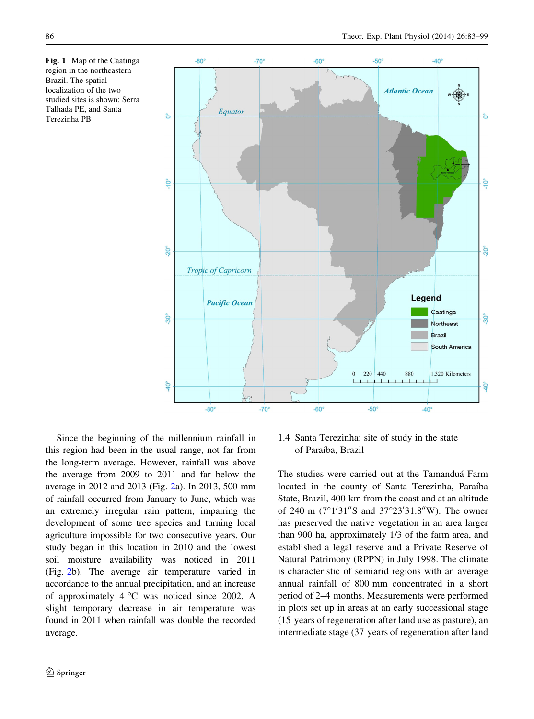<span id="page-3-0"></span>Fig. 1 Map of the Caatinga region in the northeastern Brazil. The spatial localization of the two studied sites is shown: Serra Talhada PE, and Santa Terezinha PB



Since the beginning of the millennium rainfall in this region had been in the usual range, not far from the long-term average. However, rainfall was above the average from 2009 to 2011 and far below the average in 2012 and 2013 (Fig. [2a](#page-4-0)). In 2013, 500 mm of rainfall occurred from January to June, which was an extremely irregular rain pattern, impairing the development of some tree species and turning local agriculture impossible for two consecutive years. Our study began in this location in 2010 and the lowest soil moisture availability was noticed in 2011 (Fig. [2b](#page-4-0)). The average air temperature varied in accordance to the annual precipitation, and an increase of approximately  $4 °C$  was noticed since 2002. A slight temporary decrease in air temperature was found in 2011 when rainfall was double the recorded average.

# 1.4 Santa Terezinha: site of study in the state of Paraı´ba, Brazil

The studies were carried out at the Tamanduá Farm located in the county of Santa Terezinha, Paraı´ba State, Brazil, 400 km from the coast and at an altitude of 240 m  $(7^{\circ}1'31''S$  and  $37^{\circ}23'31.8''W)$ . The owner has preserved the native vegetation in an area larger than 900 ha, approximately 1/3 of the farm area, and established a legal reserve and a Private Reserve of Natural Patrimony (RPPN) in July 1998. The climate is characteristic of semiarid regions with an average annual rainfall of 800 mm concentrated in a short period of 2–4 months. Measurements were performed in plots set up in areas at an early successional stage (15 years of regeneration after land use as pasture), an intermediate stage (37 years of regeneration after land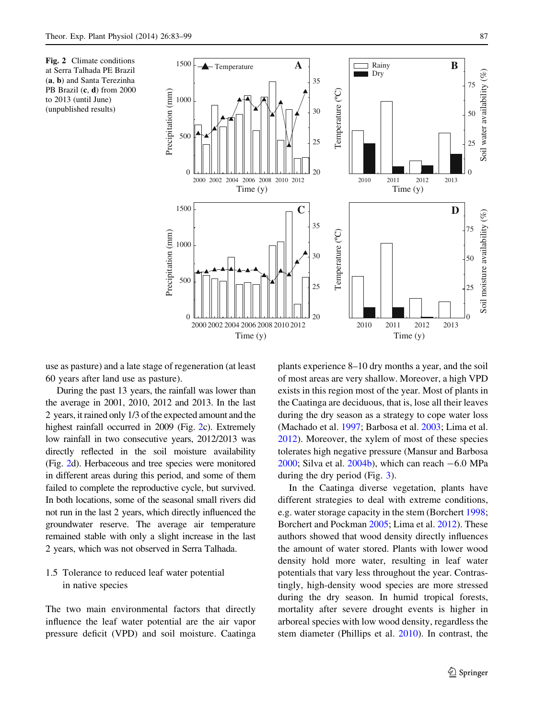<span id="page-4-0"></span>Fig. 2 Climate conditions at Serra Talhada PE Brazil (a, b) and Santa Terezinha PB Brazil (c, d) from 2000 to 2013 (until June) (unpublished results)



use as pasture) and a late stage of regeneration (at least 60 years after land use as pasture).

During the past 13 years, the rainfall was lower than the average in 2001, 2010, 2012 and 2013. In the last 2 years, it rained only 1/3 of the expected amount and the highest rainfall occurred in 2009 (Fig. 2c). Extremely low rainfall in two consecutive years, 2012/2013 was directly reflected in the soil moisture availability (Fig. 2d). Herbaceous and tree species were monitored in different areas during this period, and some of them failed to complete the reproductive cycle, but survived. In both locations, some of the seasonal small rivers did not run in the last 2 years, which directly influenced the groundwater reserve. The average air temperature remained stable with only a slight increase in the last 2 years, which was not observed in Serra Talhada.

# 1.5 Tolerance to reduced leaf water potential in native species

The two main environmental factors that directly influence the leaf water potential are the air vapor pressure deficit (VPD) and soil moisture. Caatinga plants experience 8–10 dry months a year, and the soil of most areas are very shallow. Moreover, a high VPD exists in this region most of the year. Most of plants in the Caatinga are deciduous, that is, lose all their leaves during the dry season as a strategy to cope water loss (Machado et al. [1997;](#page-15-0) Barbosa et al. [2003;](#page-13-0) Lima et al. [2012\)](#page-15-0). Moreover, the xylem of most of these species tolerates high negative pressure (Mansur and Barbosa  $2000$ ; Silva et al.  $2004b$ ), which can reach  $-6.0$  MPa during the dry period (Fig. [3\)](#page-5-0).

In the Caatinga diverse vegetation, plants have different strategies to deal with extreme conditions, e.g. water storage capacity in the stem (Borchert [1998;](#page-14-0) Borchert and Pockman [2005](#page-14-0); Lima et al. [2012](#page-15-0)). These authors showed that wood density directly influences the amount of water stored. Plants with lower wood density hold more water, resulting in leaf water potentials that vary less throughout the year. Contrastingly, high-density wood species are more stressed during the dry season. In humid tropical forests, mortality after severe drought events is higher in arboreal species with low wood density, regardless the stem diameter (Phillips et al. [2010](#page-15-0)). In contrast, the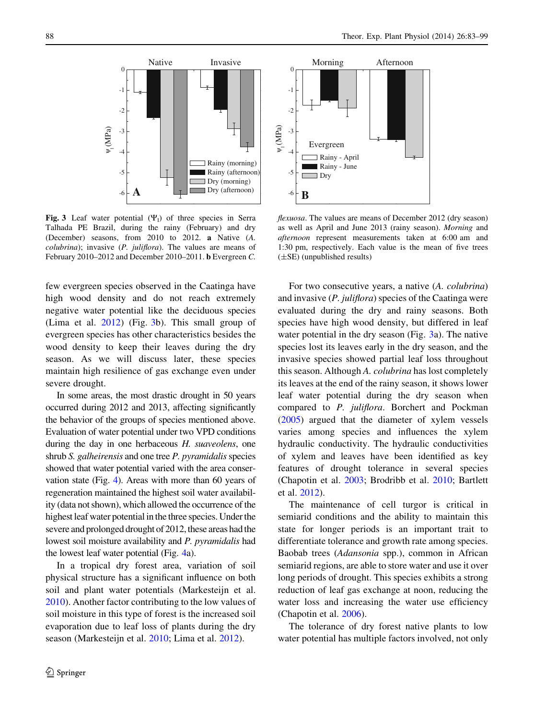<span id="page-5-0"></span>

Fig. 3 Leaf water potential  $(\Psi_1)$  of three species in Serra Talhada PE Brazil, during the rainy (February) and dry (December) seasons, from 2010 to 2012. a Native (A.  $\textit{colubrina}$ ; invasive (P. juliflora). The values are means of February 2010–2012 and December 2010–2011. b Evergreen C.

few evergreen species observed in the Caatinga have high wood density and do not reach extremely negative water potential like the deciduous species (Lima et al. [2012\)](#page-15-0) (Fig. 3b). This small group of evergreen species has other characteristics besides the wood density to keep their leaves during the dry season. As we will discuss later, these species maintain high resilience of gas exchange even under severe drought.

In some areas, the most drastic drought in 50 years occurred during 2012 and 2013, affecting significantly the behavior of the groups of species mentioned above. Evaluation of water potential under two VPD conditions during the day in one herbaceous H. suaveolens, one shrub S. galheirensis and one tree  $P$ . pyramidalis species showed that water potential varied with the area conservation state (Fig. [4\)](#page-6-0). Areas with more than 60 years of regeneration maintained the highest soil water availability (data not shown), which allowed the occurrence of the highest leaf water potential in the three species. Under the severe and prolonged drought of 2012, these areas had the lowest soil moisture availability and P. pyramidalis had the lowest leaf water potential (Fig. [4](#page-6-0)a).

In a tropical dry forest area, variation of soil physical structure has a significant influence on both soil and plant water potentials (Markesteijn et al. [2010\)](#page-15-0). Another factor contributing to the low values of soil moisture in this type of forest is the increased soil evaporation due to leaf loss of plants during the dry season (Markesteijn et al. [2010;](#page-15-0) Lima et al. [2012\)](#page-15-0).



flexuosa. The values are means of December 2012 (dry season) as well as April and June 2013 (rainy season). Morning and afternoon represent measurements taken at 6:00 am and 1:30 pm, respectively. Each value is the mean of five trees (±SE) (unpublished results)

For two consecutive years, a native (A. colubrina) and invasive (P. juliflora) species of the Caatinga were evaluated during the dry and rainy seasons. Both species have high wood density, but differed in leaf water potential in the dry season (Fig. 3a). The native species lost its leaves early in the dry season, and the invasive species showed partial leaf loss throughout this season. Although A. colubrina has lost completely its leaves at the end of the rainy season, it shows lower leaf water potential during the dry season when compared to P. juliflora. Borchert and Pockman [\(2005](#page-14-0)) argued that the diameter of xylem vessels varies among species and influences the xylem hydraulic conductivity. The hydraulic conductivities of xylem and leaves have been identified as key features of drought tolerance in several species (Chapotin et al. [2003;](#page-14-0) Brodribb et al. [2010;](#page-14-0) Bartlett et al. [2012](#page-14-0)).

The maintenance of cell turgor is critical in semiarid conditions and the ability to maintain this state for longer periods is an important trait to differentiate tolerance and growth rate among species. Baobab trees (Adansonia spp.), common in African semiarid regions, are able to store water and use it over long periods of drought. This species exhibits a strong reduction of leaf gas exchange at noon, reducing the water loss and increasing the water use efficiency (Chapotin et al. [2006](#page-14-0)).

The tolerance of dry forest native plants to low water potential has multiple factors involved, not only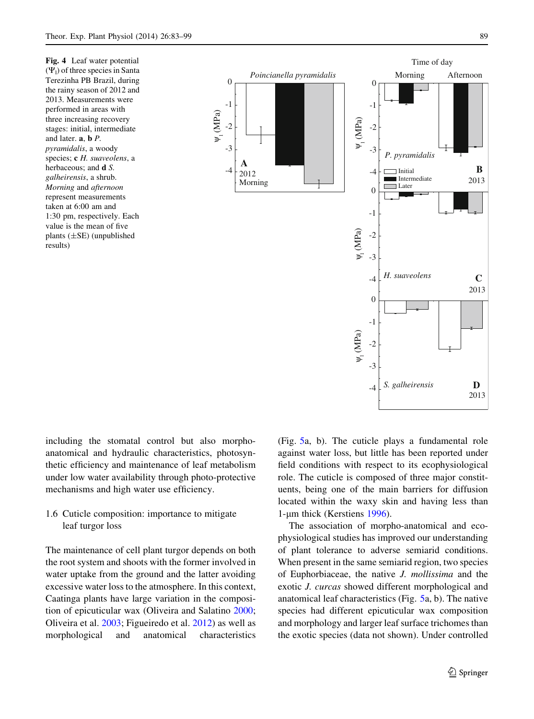<span id="page-6-0"></span>Fig. 4 Leaf water potential  $(\Psi_1)$  of three species in Santa Terezinha PB Brazil, during the rainy season of 2012 and 2013. Measurements were performed in areas with three increasing recovery stages: initial, intermediate and later.  $\mathbf{a}, \mathbf{b}$   $P$ . pyramidalis, a woody species; c H. suaveolens, a herbaceous; and d S. galheirensis, a shrub. Morning and afternoon represent measurements taken at 6:00 am and 1:30 pm, respectively. Each value is the mean of five plants (±SE) (unpublished results)





including the stomatal control but also morphoanatomical and hydraulic characteristics, photosynthetic efficiency and maintenance of leaf metabolism under low water availability through photo-protective mechanisms and high water use efficiency.

# 1.6 Cuticle composition: importance to mitigate leaf turgor loss

The maintenance of cell plant turgor depends on both the root system and shoots with the former involved in water uptake from the ground and the latter avoiding excessive water loss to the atmosphere. In this context, Caatinga plants have large variation in the composition of epicuticular wax (Oliveira and Salatino [2000](#page-15-0); Oliveira et al. [2003](#page-15-0); Figueiredo et al. [2012](#page-14-0)) as well as morphological and anatomical characteristics (Fig. [5](#page-7-0)a, b). The cuticle plays a fundamental role against water loss, but little has been reported under field conditions with respect to its ecophysiological role. The cuticle is composed of three major constituents, being one of the main barriers for diffusion located within the waxy skin and having less than  $1$ -µm thick (Kerstiens [1996\)](#page-14-0).

The association of morpho-anatomical and ecophysiological studies has improved our understanding of plant tolerance to adverse semiarid conditions. When present in the same semiarid region, two species of Euphorbiaceae, the native J. mollissima and the exotic J. curcas showed different morphological and anatomical leaf characteristics (Fig. [5a](#page-7-0), b). The native species had different epicuticular wax composition and morphology and larger leaf surface trichomes than the exotic species (data not shown). Under controlled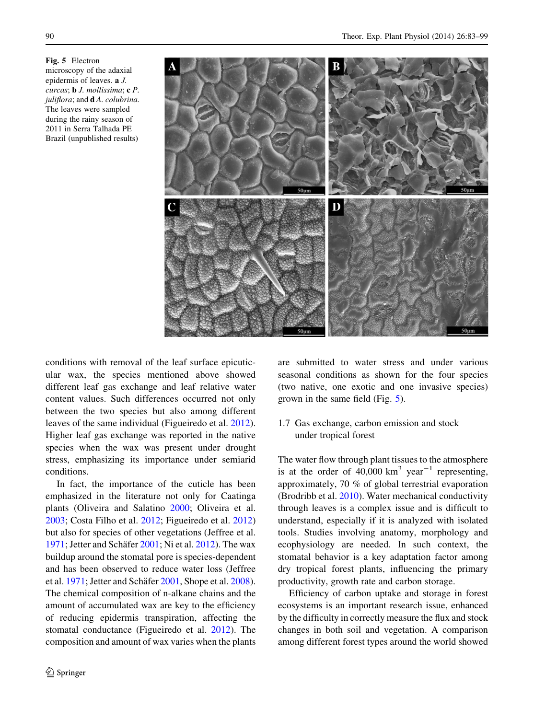<span id="page-7-0"></span>



conditions with removal of the leaf surface epicuticular wax, the species mentioned above showed different leaf gas exchange and leaf relative water content values. Such differences occurred not only between the two species but also among different leaves of the same individual (Figueiredo et al. [2012](#page-14-0)). Higher leaf gas exchange was reported in the native species when the wax was present under drought stress, emphasizing its importance under semiarid conditions.

In fact, the importance of the cuticle has been emphasized in the literature not only for Caatinga plants (Oliveira and Salatino [2000](#page-15-0); Oliveira et al. [2003;](#page-15-0) Costa Filho et al. [2012](#page-14-0); Figueiredo et al. [2012\)](#page-14-0) but also for species of other vegetations (Jeffree et al. [1971;](#page-14-0) Jetter and Schäfer [2001;](#page-14-0) Ni et al. [2012\)](#page-15-0). The wax buildup around the stomatal pore is species-dependent and has been observed to reduce water loss (Jeffree et al. [1971;](#page-14-0) Jetter and Schäfer [2001](#page-14-0), Shope et al. [2008](#page-16-0)). The chemical composition of n-alkane chains and the amount of accumulated wax are key to the efficiency of reducing epidermis transpiration, affecting the stomatal conductance (Figueiredo et al. [2012](#page-14-0)). The composition and amount of wax varies when the plants are submitted to water stress and under various seasonal conditions as shown for the four species (two native, one exotic and one invasive species) grown in the same field (Fig. 5).

1.7 Gas exchange, carbon emission and stock under tropical forest

The water flow through plant tissues to the atmosphere is at the order of 40,000 km<sup>3</sup> year<sup>-1</sup> representing, approximately, 70 % of global terrestrial evaporation (Brodribb et al. [2010\)](#page-14-0). Water mechanical conductivity through leaves is a complex issue and is difficult to understand, especially if it is analyzed with isolated tools. Studies involving anatomy, morphology and ecophysiology are needed. In such context, the stomatal behavior is a key adaptation factor among dry tropical forest plants, influencing the primary productivity, growth rate and carbon storage.

Efficiency of carbon uptake and storage in forest ecosystems is an important research issue, enhanced by the difficulty in correctly measure the flux and stock changes in both soil and vegetation. A comparison among different forest types around the world showed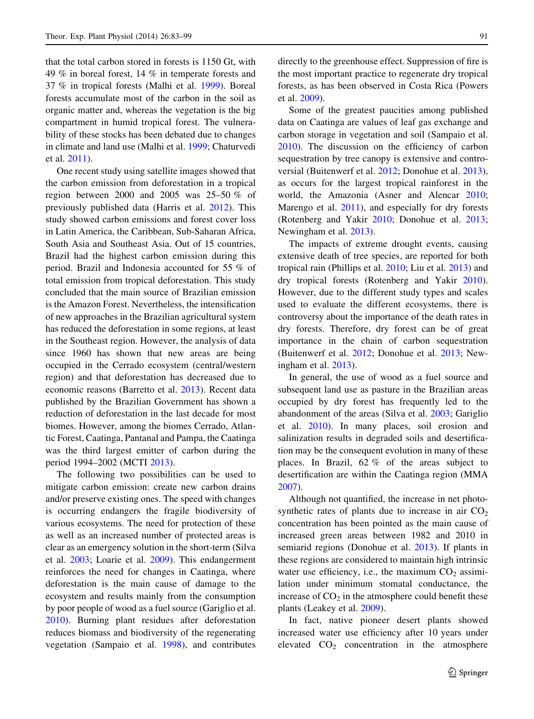that the total carbon stored in forests is 1150 Gt, with 49 % in boreal forest, 14 % in temperate forests and 37 % in tropical forests (Malhi et al. [1999\)](#page-15-0). Boreal forests accumulate most of the carbon in the soil as organic matter and, whereas the vegetation is the big compartment in humid tropical forest. The vulnerability of these stocks has been debated due to changes in climate and land use (Malhi et al. [1999;](#page-15-0) Chaturvedi et al. [2011](#page-14-0)).

One recent study using satellite images showed that the carbon emission from deforestation in a tropical region between 2000 and 2005 was 25–50 % of previously published data (Harris et al. [2012](#page-14-0)). This study showed carbon emissions and forest cover loss in Latin America, the Caribbean, Sub-Saharan Africa, South Asia and Southeast Asia. Out of 15 countries, Brazil had the highest carbon emission during this period. Brazil and Indonesia accounted for 55 % of total emission from tropical deforestation. This study concluded that the main source of Brazilian emission is the Amazon Forest. Nevertheless, the intensification of new approaches in the Brazilian agricultural system has reduced the deforestation in some regions, at least in the Southeast region. However, the analysis of data since 1960 has shown that new areas are being occupied in the Cerrado ecosystem (central/western region) and that deforestation has decreased due to economic reasons (Barretto et al. [2013](#page-13-0)). Recent data published by the Brazilian Government has shown a reduction of deforestation in the last decade for most biomes. However, among the biomes Cerrado, Atlantic Forest, Caatinga, Pantanal and Pampa, the Caatinga was the third largest emitter of carbon during the period 1994–2002 (MCTI [2013\)](#page-15-0).

The following two possibilities can be used to mitigate carbon emission: create new carbon drains and/or preserve existing ones. The speed with changes is occurring endangers the fragile biodiversity of various ecosystems. The need for protection of these as well as an increased number of protected areas is clear as an emergency solution in the short-term (Silva et al. [2003;](#page-16-0) Loarie et al. [2009\)](#page-15-0). This endangerment reinforces the need for changes in Caatinga, where deforestation is the main cause of damage to the ecosystem and results mainly from the consumption by poor people of wood as a fuel source (Gariglio et al. [2010\)](#page-14-0). Burning plant residues after deforestation reduces biomass and biodiversity of the regenerating vegetation (Sampaio et al. [1998](#page-16-0)), and contributes

directly to the greenhouse effect. Suppression of fire is the most important practice to regenerate dry tropical forests, as has been observed in Costa Rica (Powers et al. [2009](#page-15-0)).

Some of the greatest paucities among published data on Caatinga are values of leaf gas exchange and carbon storage in vegetation and soil (Sampaio et al. [2010\)](#page-16-0). The discussion on the efficiency of carbon sequestration by tree canopy is extensive and controversial (Buitenwerf et al. [2012;](#page-14-0) Donohue et al. [2013](#page-14-0)), as occurs for the largest tropical rainforest in the world, the Amazonia (Asner and Alencar [2010](#page-13-0); Marengo et al. [2011](#page-15-0)), and especially for dry forests (Rotenberg and Yakir [2010;](#page-16-0) Donohue et al. [2013](#page-14-0); Newingham et al. [2013](#page-15-0)).

The impacts of extreme drought events, causing extensive death of tree species, are reported for both tropical rain (Phillips et al. [2010](#page-15-0); Liu et al. [2013\)](#page-15-0) and dry tropical forests (Rotenberg and Yakir [2010](#page-16-0)). However, due to the different study types and scales used to evaluate the different ecosystems, there is controversy about the importance of the death rates in dry forests. Therefore, dry forest can be of great importance in the chain of carbon sequestration (Buitenwerf et al. [2012](#page-14-0); Donohue et al. [2013;](#page-14-0) Newingham et al. [2013](#page-15-0)).

In general, the use of wood as a fuel source and subsequent land use as pasture in the Brazilian areas occupied by dry forest has frequently led to the abandonment of the areas (Silva et al. [2003](#page-16-0); Gariglio et al. [2010\)](#page-14-0). In many places, soil erosion and salinization results in degraded soils and desertification may be the consequent evolution in many of these places. In Brazil, 62 % of the areas subject to desertification are within the Caatinga region (MMA [2007\)](#page-15-0).

Although not quantified, the increase in net photosynthetic rates of plants due to increase in air  $CO<sub>2</sub>$ concentration has been pointed as the main cause of increased green areas between 1982 and 2010 in semiarid regions (Donohue et al. [2013\)](#page-14-0). If plants in these regions are considered to maintain high intrinsic water use efficiency, i.e., the maximum  $CO<sub>2</sub>$  assimilation under minimum stomatal conductance, the increase of  $CO<sub>2</sub>$  in the atmosphere could benefit these plants (Leakey et al. [2009\)](#page-15-0).

In fact, native pioneer desert plants showed increased water use efficiency after 10 years under elevated  $CO<sub>2</sub>$  concentration in the atmosphere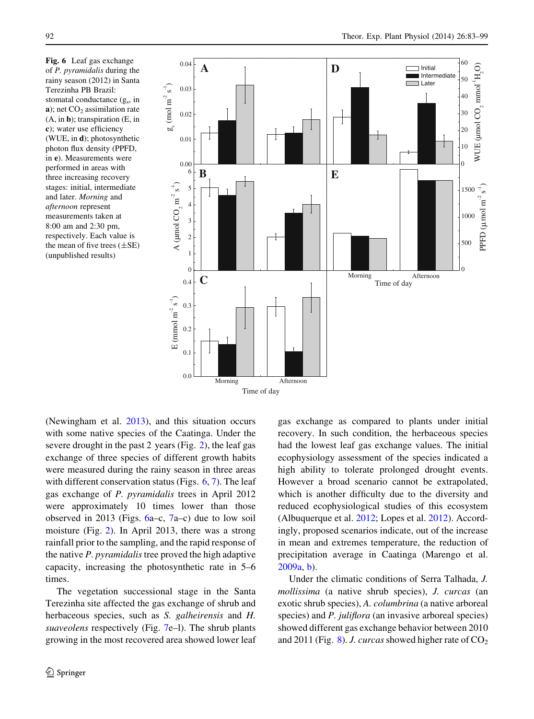Fig. 6 Leaf gas exchange of P. pyramidalis during the rainy season (2012) in Santa Terezinha PB Brazil: stomatal conductance  $(g_s, in)$  $a$ ); net  $CO<sub>2</sub>$  assimilation rate (A, in b); transpiration (E, in c); water use efficiency (WUE, in d); photosynthetic photon flux density (PPFD, in e). Measurements were performed in areas with three increasing recovery stages: initial, intermediate and later. Morning and afternoon represent measurements taken at 8:00 am and 2:30 pm, respectively. Each value is the mean of five trees  $(\pm SE)$ (unpublished results)



(Newingham et al. [2013](#page-15-0)), and this situation occurs with some native species of the Caatinga. Under the severe drought in the past 2 years (Fig. [2](#page-4-0)), the leaf gas exchange of three species of different growth habits were measured during the rainy season in three areas with different conservation status (Figs. 6, [7\)](#page-10-0). The leaf gas exchange of P. pyramidalis trees in April 2012 were approximately 10 times lower than those observed in 2013 (Figs. 6a–c, [7](#page-10-0)a–c) due to low soil moisture (Fig. [2\)](#page-4-0). In April 2013, there was a strong rainfall prior to the sampling, and the rapid response of the native P. pyramidalis tree proved the high adaptive capacity, increasing the photosynthetic rate in 5–6 times.

The vegetation successional stage in the Santa Terezinha site affected the gas exchange of shrub and herbaceous species, such as S. galheirensis and H. suaveolens respectively (Fig. [7e](#page-10-0)–l). The shrub plants growing in the most recovered area showed lower leaf gas exchange as compared to plants under initial recovery. In such condition, the herbaceous species had the lowest leaf gas exchange values. The initial ecophysiology assessment of the species indicated a high ability to tolerate prolonged drought events. However a broad scenario cannot be extrapolated, which is another difficulty due to the diversity and reduced ecophysiological studies of this ecosystem (Albuquerque et al. [2012;](#page-13-0) Lopes et al. [2012](#page-15-0)). Accordingly, proposed scenarios indicate, out of the increase in mean and extremes temperature, the reduction of precipitation average in Caatinga (Marengo et al. [2009a](#page-15-0), [b\)](#page-15-0).

Under the climatic conditions of Serra Talhada, J. mollissima (a native shrub species), J. curcas (an exotic shrub species), A. columbrina (a native arboreal species) and *P. juliflora* (an invasive arboreal species) showed different gas exchange behavior between 2010 and 2011 (Fig. [8\)](#page-11-0). J. curcas showed higher rate of  $CO<sub>2</sub>$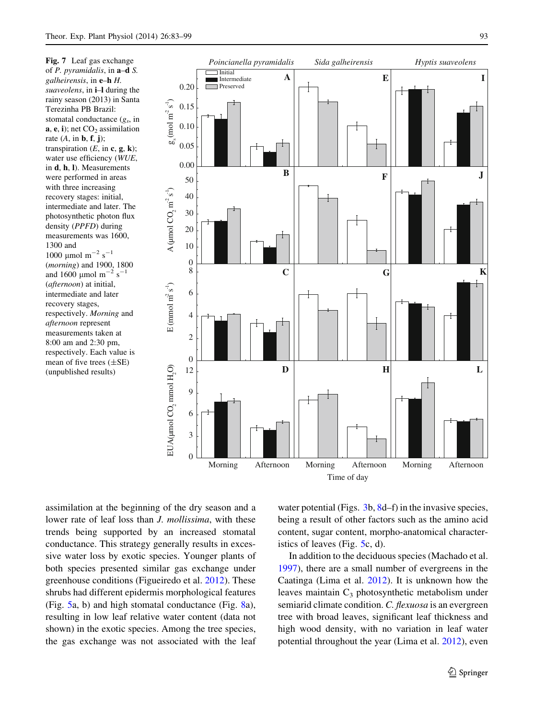<span id="page-10-0"></span>Fig. 7 Leaf gas exchange of  $P$ . pyramidalis, in  $\mathbf{a}-\mathbf{d}$  S. galheirensis, in  $e-h$  H. suaveolens, in **i**-I during the rainy season (2013) in Santa Terezinha PB Brazil: stomatal conductance  $(g_s, in)$  $a, e, i$ ; net  $CO<sub>2</sub>$  assimilation rate  $(A, \text{ in } \mathbf{b}, \mathbf{f}, \mathbf{j})$ ; transpiration  $(E, \text{ in } c, g, k)$ ; water use efficiency (WUE, in d, h, l). Measurements were performed in areas with three increasing recovery stages: initial, intermediate and later. The photosynthetic photon flux density (PPFD) during measurements was 1600, 1300 and 1000 μmol m<sup>-2</sup> s<sup>-1</sup> (morning) and 1900, 1800 and 1600  $\mu$ mol m<sup>-2</sup> s<sup>-1</sup> (afternoon) at initial, intermediate and later recovery stages, respectively. Morning and afternoon represent measurements taken at 8:00 am and 2:30 pm, respectively. Each value is mean of five trees  $(\pm SE)$ (unpublished results)



assimilation at the beginning of the dry season and a lower rate of leaf loss than *J. mollissima*, with these trends being supported by an increased stomatal conductance. This strategy generally results in excessive water loss by exotic species. Younger plants of both species presented similar gas exchange under greenhouse conditions (Figueiredo et al. [2012](#page-14-0)). These shrubs had different epidermis morphological features (Fig. [5](#page-7-0)a, b) and high stomatal conductance (Fig. [8a](#page-11-0)), resulting in low leaf relative water content (data not shown) in the exotic species. Among the tree species, the gas exchange was not associated with the leaf

water potential (Figs. [3](#page-5-0)b, [8d](#page-11-0)–f) in the invasive species, being a result of other factors such as the amino acid content, sugar content, morpho-anatomical characteristics of leaves (Fig. [5c](#page-7-0), d).

In addition to the deciduous species (Machado et al. [1997\)](#page-15-0), there are a small number of evergreens in the Caatinga (Lima et al. [2012\)](#page-15-0). It is unknown how the leaves maintain  $C_3$  photosynthetic metabolism under semiarid climate condition. C. flexuosa is an evergreen tree with broad leaves, significant leaf thickness and high wood density, with no variation in leaf water potential throughout the year (Lima et al. [2012\)](#page-15-0), even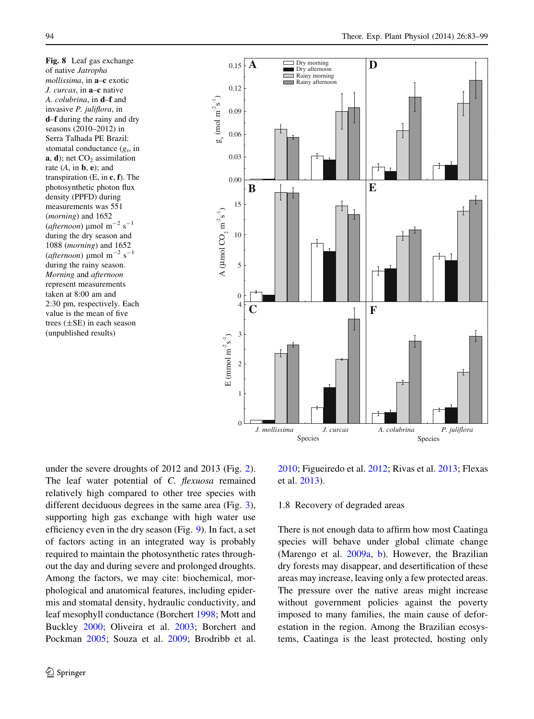of native Jatropha mollissima, in a–c exotic J. curcas, in a–c native A. colubrina, in d–f and invasive P. juliflora, in d–f during the rainy and dry seasons (2010–2012) in Serra Talhada PE Brazil: stomatal conductance  $(g_s, in)$  $a, d$ ; net  $CO<sub>2</sub>$  assimilation rate  $(A, \text{ in } \mathbf{b}, \mathbf{e})$ ; and transpiration  $(E, \text{ in } c, f)$ . The photosynthetic photon flux density (PPFD) during measurements was 551 (morning) and 1652 (*afternoon*)  $\mu$ mol m<sup>-2</sup> s<sup>-1</sup> during the dry season and 1088 (morning) and 1652 (*afternoon*)  $\mu$ mol m<sup>-2</sup> s<sup>-1</sup> during the rainy season. Morning and afternoon represent measurements taken at 8:00 am and 2:30 pm, respectively. Each value is the mean of five trees  $(\pm SE)$  in each season (unpublished results)

<span id="page-11-0"></span>

under the severe droughts of 2012 and 2013 (Fig. [2](#page-4-0)). The leaf water potential of C. *flexuosa* remained relatively high compared to other tree species with different deciduous degrees in the same area (Fig. [3](#page-5-0)), supporting high gas exchange with high water use efficiency even in the dry season (Fig. [9\)](#page-12-0). In fact, a set of factors acting in an integrated way is probably required to maintain the photosynthetic rates throughout the day and during severe and prolonged droughts. Among the factors, we may cite: biochemical, morphological and anatomical features, including epidermis and stomatal density, hydraulic conductivity, and leaf mesophyll conductance (Borchert [1998;](#page-14-0) Mott and Buckley [2000](#page-15-0); Oliveira et al. [2003](#page-15-0); Borchert and Pockman [2005;](#page-14-0) Souza et al. [2009](#page-16-0); Brodribb et al. [2010;](#page-14-0) Figueiredo et al. [2012](#page-14-0); Rivas et al. [2013](#page-15-0); Flexas et al. [2013](#page-14-0)).

#### 1.8 Recovery of degraded areas

There is not enough data to affirm how most Caatinga species will behave under global climate change (Marengo et al. [2009a,](#page-15-0) [b](#page-15-0)). However, the Brazilian dry forests may disappear, and desertification of these areas may increase, leaving only a few protected areas. The pressure over the native areas might increase without government policies against the poverty imposed to many families, the main cause of deforestation in the region. Among the Brazilian ecosystems, Caatinga is the least protected, hosting only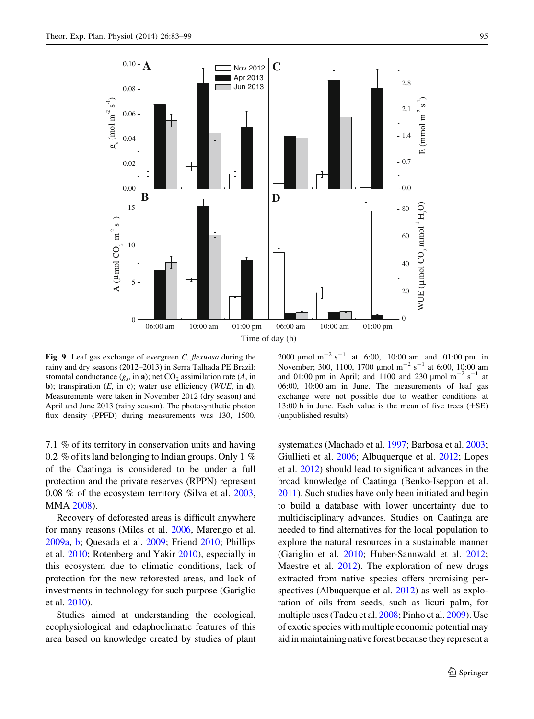<span id="page-12-0"></span>

Fig. 9 Leaf gas exchange of evergreen C. *flexuosa* during the rainy and dry seasons (2012–2013) in Serra Talhada PE Brazil: stomatal conductance  $(g_s, \text{ in } \mathbf{a})$ ; net  $CO_2$  assimilation rate  $(A, \text{ in } \mathbf{a})$ b); transpiration  $(E, \text{ in } c)$ ; water use efficiency (WUE, in **d**). Measurements were taken in November 2012 (dry season) and April and June 2013 (rainy season). The photosynthetic photon flux density (PPFD) during measurements was 130, 1500,

7.1 % of its territory in conservation units and having 0.2 % of its land belonging to Indian groups. Only 1 % of the Caatinga is considered to be under a full protection and the private reserves (RPPN) represent 0.08 % of the ecosystem territory (Silva et al. [2003,](#page-16-0) MMA [2008](#page-15-0)).

Recovery of deforested areas is difficult anywhere for many reasons (Miles et al. [2006,](#page-15-0) Marengo et al. [2009a](#page-15-0), [b](#page-15-0); Quesada et al. [2009;](#page-15-0) Friend [2010](#page-14-0); Phillips et al. [2010;](#page-15-0) Rotenberg and Yakir [2010\)](#page-16-0), especially in this ecosystem due to climatic conditions, lack of protection for the new reforested areas, and lack of investments in technology for such purpose (Gariglio et al. [2010](#page-14-0)).

Studies aimed at understanding the ecological, ecophysiological and edaphoclimatic features of this area based on knowledge created by studies of plant

2000  $\mu$ mol m<sup>-2</sup> s<sup>-1</sup> at 6:00, 10:00 am and 01:00 pm in November; 300, 1100, 1700  $\mu$ mol m<sup>-2</sup> s<sup>-1</sup> at 6:00, 10:00 am and 01:00 pm in April; and 1100 and 230  $\mu$ mol m<sup>-2</sup> s<sup>-1</sup> at 06:00, 10:00 am in June. The measurements of leaf gas exchange were not possible due to weather conditions at 13:00 h in June. Each value is the mean of five trees  $(\pm SE)$ (unpublished results)

systematics (Machado et al. [1997;](#page-15-0) Barbosa et al. [2003](#page-13-0); Giullieti et al. [2006;](#page-14-0) Albuquerque et al. [2012;](#page-13-0) Lopes et al. [2012\)](#page-15-0) should lead to significant advances in the broad knowledge of Caatinga (Benko-Iseppon et al. [2011\)](#page-14-0). Such studies have only been initiated and begin to build a database with lower uncertainty due to multidisciplinary advances. Studies on Caatinga are needed to find alternatives for the local population to explore the natural resources in a sustainable manner (Gariglio et al. [2010](#page-14-0); Huber-Sannwald et al. [2012](#page-14-0); Maestre et al. [2012](#page-15-0)). The exploration of new drugs extracted from native species offers promising perspectives (Albuquerque et al. [2012](#page-13-0)) as well as exploration of oils from seeds, such as licuri palm, for multiple uses (Tadeu et al. [2008](#page-16-0); Pinho et al. [2009](#page-15-0)). Use of exotic species with multiple economic potential may aid in maintaining native forest because they represent a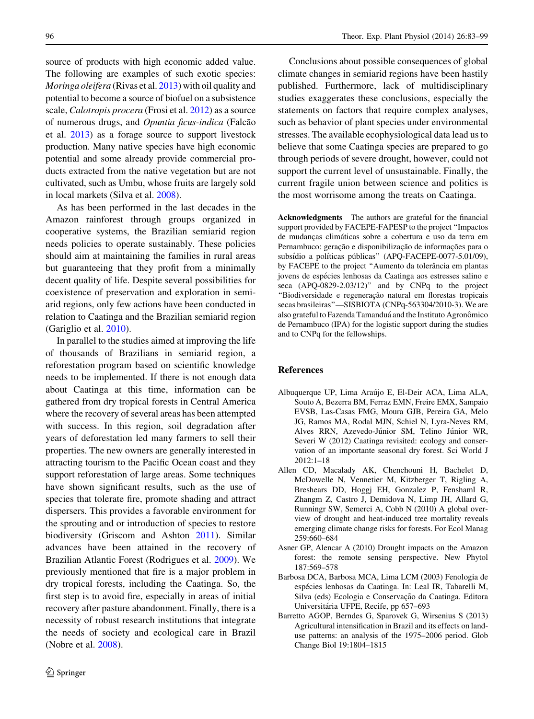<span id="page-13-0"></span>source of products with high economic added value. The following are examples of such exotic species: Moringa oleifera (Rivas et al. [2013\)](#page-15-0) with oil quality and potential to become a source of biofuel on a subsistence scale, Calotropis procera (Frosi et al. [2012](#page-14-0)) as a source of numerous drugs, and Opuntia ficus-indica (Falcão et al. [2013\)](#page-14-0) as a forage source to support livestock production. Many native species have high economic potential and some already provide commercial products extracted from the native vegetation but are not cultivated, such as Umbu, whose fruits are largely sold in local markets (Silva et al. [2008](#page-16-0)).

As has been performed in the last decades in the Amazon rainforest through groups organized in cooperative systems, the Brazilian semiarid region needs policies to operate sustainably. These policies should aim at maintaining the families in rural areas but guaranteeing that they profit from a minimally decent quality of life. Despite several possibilities for coexistence of preservation and exploration in semiarid regions, only few actions have been conducted in relation to Caatinga and the Brazilian semiarid region (Gariglio et al. [2010\)](#page-14-0).

In parallel to the studies aimed at improving the life of thousands of Brazilians in semiarid region, a reforestation program based on scientific knowledge needs to be implemented. If there is not enough data about Caatinga at this time, information can be gathered from dry tropical forests in Central America where the recovery of several areas has been attempted with success. In this region, soil degradation after years of deforestation led many farmers to sell their properties. The new owners are generally interested in attracting tourism to the Pacific Ocean coast and they support reforestation of large areas. Some techniques have shown significant results, such as the use of species that tolerate fire, promote shading and attract dispersers. This provides a favorable environment for the sprouting and or introduction of species to restore biodiversity (Griscom and Ashton [2011\)](#page-14-0). Similar advances have been attained in the recovery of Brazilian Atlantic Forest (Rodrigues et al. [2009\)](#page-16-0). We previously mentioned that fire is a major problem in dry tropical forests, including the Caatinga. So, the first step is to avoid fire, especially in areas of initial recovery after pasture abandonment. Finally, there is a necessity of robust research institutions that integrate the needs of society and ecological care in Brazil (Nobre et al. [2008](#page-15-0)).

Conclusions about possible consequences of global climate changes in semiarid regions have been hastily published. Furthermore, lack of multidisciplinary studies exaggerates these conclusions, especially the statements on factors that require complex analyses, such as behavior of plant species under environmental stresses. The available ecophysiological data lead us to believe that some Caatinga species are prepared to go through periods of severe drought, however, could not support the current level of unsustainable. Finally, the current fragile union between science and politics is the most worrisome among the treats on Caatinga.

Acknowledgments The authors are grateful for the financial support provided by FACEPE-FAPESP to the project ''Impactos de mudanças climáticas sobre a cobertura e uso da terra em Pernambuco: geração e disponibilização de informações para o subsídio a políticas públicas" (APQ-FACEPE-0077-5.01/09), by FACEPE to the project "Aumento da tolerância em plantas jovens de espécies lenhosas da Caatinga aos estresses salino e seca (APQ-0829-2.03/12)'' and by CNPq to the project "Biodiversidade e regeneração natural em florestas tropicais secas brasileiras''—SISBIOTA (CNPq-563304/2010-3). We are also grateful to Fazenda Tamanduá and the Instituto Agronômico de Pernambuco (IPA) for the logistic support during the studies and to CNPq for the fellowships.

#### References

- Albuquerque UP, Lima Arau´jo E, El-Deir ACA, Lima ALA, Souto A, Bezerra BM, Ferraz EMN, Freire EMX, Sampaio EVSB, Las-Casas FMG, Moura GJB, Pereira GA, Melo JG, Ramos MA, Rodal MJN, Schiel N, Lyra-Neves RM, Alves RRN, Azevedo-Júnior SM, Telino Júnior WR, Severi W (2012) Caatinga revisited: ecology and conservation of an importante seasonal dry forest. Sci World J 2012:1–18
- Allen CD, Macalady AK, Chenchouni H, Bachelet D, McDowelle N, Vennetier M, Kitzberger T, Rigling A, Breshears DD, Hoggj EH, Gonzalez P, Fenshaml R, Zhangm Z, Castro J, Demidova N, Limp JH, Allard G, Runningr SW, Semerci A, Cobb N (2010) A global overview of drought and heat-induced tree mortality reveals emerging climate change risks for forests. For Ecol Manag 259:660–684
- Asner GP, Alencar A (2010) Drought impacts on the Amazon forest: the remote sensing perspective. New Phytol 187:569–578
- Barbosa DCA, Barbosa MCA, Lima LCM (2003) Fenologia de espécies lenhosas da Caatinga. In: Leal IR, Tabarelli M, Silva (eds) Ecologia e Conservação da Caatinga. Editora Universitária UFPE, Recife, pp 657-693
- Barretto AGOP, Berndes G, Sparovek G, Wirsenius S (2013) Agricultural intensification in Brazil and its effects on landuse patterns: an analysis of the 1975–2006 period. Glob Change Biol 19:1804–1815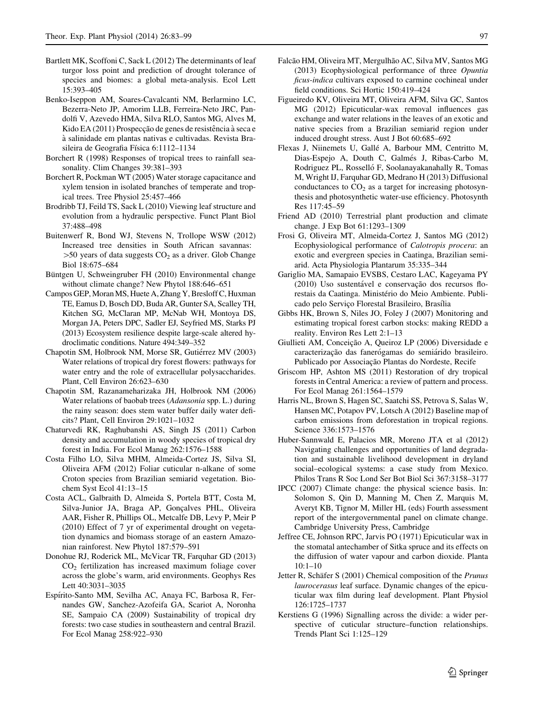- <span id="page-14-0"></span>Bartlett MK, Scoffoni C, Sack L (2012) The determinants of leaf turgor loss point and prediction of drought tolerance of species and biomes: a global meta-analysis. Ecol Lett 15:393–405
- Benko-Iseppon AM, Soares-Cavalcanti NM, Berlarmino LC, Bezerra-Neto JP, Amorim LLB, Ferreira-Neto JRC, Pandolfi V, Azevedo HMA, Silva RLO, Santos MG, Alves M, Kido EA (2011) Prospecção de genes de resistência à seca e a` salinidade em plantas nativas e cultivadas. Revista Brasileira de Geografia Física 6:1112-1134
- Borchert R (1998) Responses of tropical trees to rainfall seasonality. Clim Changes 39:381–393
- Borchert R, Pockman WT (2005) Water storage capacitance and xylem tension in isolated branches of temperate and tropical trees. Tree Physiol 25:457–466
- Brodribb TJ, Feild TS, Sack L (2010) Viewing leaf structure and evolution from a hydraulic perspective. Funct Plant Biol 37:488–498
- Buitenwerf R, Bond WJ, Stevens N, Trollope WSW (2012) Increased tree densities in South African savannas:  $>50$  years of data suggests  $CO<sub>2</sub>$  as a driver. Glob Change Biol 18:675–684
- Büntgen U, Schweingruber FH (2010) Environmental change without climate change? New Phytol 188:646–651
- Campos GEP, Moran MS, Huete A, Zhang Y, Bresloff C, Huxman TE, Eamus D, Bosch DD, Buda AR, Gunter SA, Scalley TH, Kitchen SG, McClaran MP, McNab WH, Montoya DS, Morgan JA, Peters DPC, Sadler EJ, Seyfried MS, Starks PJ (2013) Ecosystem resilience despite large-scale altered hydroclimatic conditions. Nature 494:349–352
- Chapotin SM, Holbrook NM, Morse SR, Gutiérrez MV (2003) Water relations of tropical dry forest flowers: pathways for water entry and the role of extracellular polysaccharides. Plant, Cell Environ 26:623–630
- Chapotin SM, Razanameharizaka JH, Holbrook NM (2006) Water relations of baobab trees (Adansonia spp. L.) during the rainy season: does stem water buffer daily water deficits? Plant, Cell Environ 29:1021–1032
- Chaturvedi RK, Raghubanshi AS, Singh JS (2011) Carbon density and accumulation in woody species of tropical dry forest in India. For Ecol Manag 262:1576–1588
- Costa Filho LO, Silva MHM, Almeida-Cortez JS, Silva SI, Oliveira AFM (2012) Foliar cuticular n-alkane of some Croton species from Brazilian semiarid vegetation. Biochem Syst Ecol 41:13–15
- Costa ACL, Galbraith D, Almeida S, Portela BTT, Costa M, Silva-Junior JA, Braga AP, Gonçalves PHL, Oliveira AAR, Fisher R, Phillips OL, Metcalfe DB, Levy P, Meir P (2010) Effect of 7 yr of experimental drought on vegetation dynamics and biomass storage of an eastern Amazonian rainforest. New Phytol 187:579–591
- Donohue RJ, Roderick ML, McVicar TR, Farquhar GD (2013)  $CO<sub>2</sub>$  fertilization has increased maximum foliage cover across the globe's warm, arid environments. Geophys Res Lett 40:3031–3035
- Espírito-Santo MM, Sevilha AC, Anaya FC, Barbosa R, Fernandes GW, Sanchez-Azofeifa GA, Scariot A, Noronha SE, Sampaio CA (2009) Sustainability of tropical dry forests: two case studies in southeastern and central Brazil. For Ecol Manag 258:922–930
- 
- Falcão HM, Oliveira MT, Mergulhão AC, Silva MV, Santos MG (2013) Ecophysiological performance of three Opuntia ficus-indica cultivars exposed to carmine cochineal under field conditions. Sci Hortic 150:419–424
- Figueiredo KV, Oliveira MT, Oliveira AFM, Silva GC, Santos MG (2012) Epicuticular-wax removal influences gas exchange and water relations in the leaves of an exotic and native species from a Brazilian semiarid region under induced drought stress. Aust J Bot 60:685–692
- Flexas J, Niinemets U, Gallé A, Barbour MM, Centritto M, Dias-Espejo A, Douth C, Galmés J, Ribas-Carbo M, Rodriguez PL, Rosselló F, Soolanayakanahally R, Tomas M, Wright IJ, Farquhar GD, Medrano H (2013) Diffusional conductances to  $CO<sub>2</sub>$  as a target for increasing photosynthesis and photosynthetic water-use efficiency. Photosynth Res 117:45–59
- Friend AD (2010) Terrestrial plant production and climate change. J Exp Bot 61:1293–1309
- Frosi G, Oliveira MT, Almeida-Cortez J, Santos MG (2012) Ecophysiological performance of Calotropis procera: an exotic and evergreen species in Caatinga, Brazilian semiarid. Acta Physiologia Plantarum 35:335–344
- Gariglio MA, Samapaio EVSBS, Cestaro LAC, Kageyama PY (2010) Uso sustentável e conservação dos recursos florestais da Caatinga. Ministério do Meio Ambiente. Publicado pelo Serviço Florestal Brasileiro, Brasília
- Gibbs HK, Brown S, Niles JO, Foley J (2007) Monitoring and estimating tropical forest carbon stocks: making REDD a reality. Environ Res Lett 2:1–13
- Giullieti AM, Conceição A, Queiroz LP (2006) Diversidade e caracterização das fanerógamas do semiárido brasileiro. Publicado por Associação Plantas do Nordeste, Recife
- Griscom HP, Ashton MS (2011) Restoration of dry tropical forests in Central America: a review of pattern and process. For Ecol Manag 261:1564–1579
- Harris NL, Brown S, Hagen SC, Saatchi SS, Petrova S, Salas W, Hansen MC, Potapov PV, Lotsch A (2012) Baseline map of carbon emissions from deforestation in tropical regions. Science 336:1573–1576
- Huber-Sannwald E, Palacios MR, Moreno JTA et al (2012) Navigating challenges and opportunities of land degradation and sustainable livelihood development in dryland social–ecological systems: a case study from Mexico. Philos Trans R Soc Lond Ser Bot Biol Sci 367:3158–3177
- IPCC (2007) Climate change: the physical science basis. In: Solomon S, Qin D, Manning M, Chen Z, Marquis M, Averyt KB, Tignor M, Miller HL (eds) Fourth assessment report of the intergovernmental panel on climate change. Cambridge University Press, Cambridge
- Jeffree CE, Johnson RPC, Jarvis PO (1971) Epicuticular wax in the stomatal antechamber of Sitka spruce and its effects on the diffusion of water vapour and carbon dioxide. Planta 10:1–10
- Jetter R, Schäfer S (2001) Chemical composition of the Prunus laurocerasus leaf surface. Dynamic changes of the epicuticular wax film during leaf development. Plant Physiol 126:1725–1737
- Kerstiens G (1996) Signalling across the divide: a wider perspective of cuticular structure–function relationships. Trends Plant Sci 1:125–129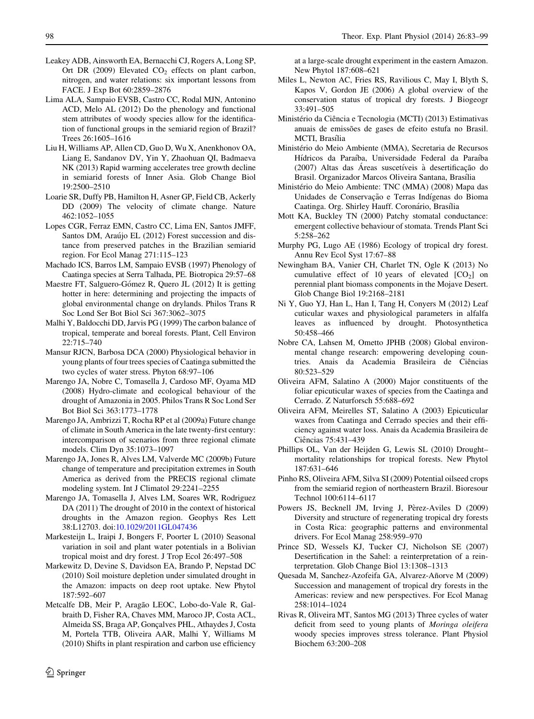- <span id="page-15-0"></span>Leakey ADB, Ainsworth EA, Bernacchi CJ, Rogers A, Long SP, Ort DR (2009) Elevated  $CO<sub>2</sub>$  effects on plant carbon, nitrogen, and water relations: six important lessons from FACE. J Exp Bot 60:2859–2876
- Lima ALA, Sampaio EVSB, Castro CC, Rodal MJN, Antonino ACD, Melo AL (2012) Do the phenology and functional stem attributes of woody species allow for the identification of functional groups in the semiarid region of Brazil? Trees 26:1605–1616
- Liu H, Williams AP, Allen CD, Guo D, Wu X, Anenkhonov OA, Liang E, Sandanov DV, Yin Y, Zhaohuan QI, Badmaeva NK (2013) Rapid warming accelerates tree growth decline in semiarid forests of Inner Asia. Glob Change Biol 19:2500–2510
- Loarie SR, Duffy PB, Hamilton H, Asner GP, Field CB, Ackerly DD (2009) The velocity of climate change. Nature 462:1052–1055
- Lopes CGR, Ferraz EMN, Castro CC, Lima EN, Santos JMFF, Santos DM, Araújo EL (2012) Forest succession and distance from preserved patches in the Brazilian semiarid region. For Ecol Manag 271:115–123
- Machado ICS, Barros LM, Sampaio EVSB (1997) Phenology of Caatinga species at Serra Talhada, PE. Biotropica 29:57–68
- Maestre FT, Salguero-Gómez R, Quero JL (2012) It is getting hotter in here: determining and projecting the impacts of global environmental change on drylands. Philos Trans R Soc Lond Ser Bot Biol Sci 367:3062–3075
- Malhi Y, Baldocchi DD, Jarvis PG (1999) The carbon balance of tropical, temperate and boreal forests. Plant, Cell Environ 22:715–740
- Mansur RJCN, Barbosa DCA (2000) Physiological behavior in young plants of four trees species of Caatinga submitted the two cycles of water stress. Phyton 68:97–106
- Marengo JA, Nobre C, Tomasella J, Cardoso MF, Oyama MD (2008) Hydro-climate and ecological behaviour of the drought of Amazonia in 2005. Philos Trans R Soc Lond Ser Bot Biol Sci 363:1773–1778
- Marengo JA, Ambrizzi T, Rocha RP et al (2009a) Future change of climate in South America in the late twenty-first century: intercomparison of scenarios from three regional climate models. Clim Dyn 35:1073–1097
- Marengo JA, Jones R, Alves LM, Valverde MC (2009b) Future change of temperature and precipitation extremes in South America as derived from the PRECIS regional climate modeling system. Int J Climatol 29:2241–2255
- Marengo JA, Tomasella J, Alves LM, Soares WR, Rodriguez DA (2011) The drought of 2010 in the context of historical droughts in the Amazon region. Geophys Res Lett 38:L12703. doi:[10.1029/2011GL047436](http://dx.doi.org/10.1029/2011GL047436)
- Markesteijn L, Iraipi J, Bongers F, Poorter L (2010) Seasonal variation in soil and plant water potentials in a Bolivian tropical moist and dry forest. J Trop Ecol 26:497–508
- Markewitz D, Devine S, Davidson EA, Brando P, Nepstad DC (2010) Soil moisture depletion under simulated drought in the Amazon: impacts on deep root uptake. New Phytol 187:592–607
- Metcalfe DB, Meir P, Aragão LEOC, Lobo-do-Vale R, Galbraith D, Fisher RA, Chaves MM, Maroco JP, Costa ACL, Almeida SS, Braga AP, Gonçalves PHL, Athaydes J, Costa M, Portela TTB, Oliveira AAR, Malhi Y, Williams M (2010) Shifts in plant respiration and carbon use efficiency

at a large-scale drought experiment in the eastern Amazon. New Phytol 187:608–621

- Miles L, Newton AC, Fries RS, Ravilious C, May I, Blyth S, Kapos V, Gordon JE (2006) A global overview of the conservation status of tropical dry forests. J Biogeogr 33:491–505
- Ministério da Ciência e Tecnologia (MCTI) (2013) Estimativas anuais de emissões de gases de efeito estufa no Brasil. MCTI, Brasília
- Ministério do Meio Ambiente (MMA), Secretaria de Recursos Hídricos da Paraíba, Universidade Federal da Paraíba (2007) Altas das Áreas suscetíveis à desertificação do Brasil. Organizador Marcos Oliveira Santana, Brasília
- Ministério do Meio Ambiente: TNC (MMA) (2008) Mapa das Unidades de Conservação e Terras Indígenas do Bioma Caatinga. Org. Shirley Hauff. Coronário, Brasília
- Mott KA, Buckley TN (2000) Patchy stomatal conductance: emergent collective behaviour of stomata. Trends Plant Sci 5:258–262
- Murphy PG, Lugo AE (1986) Ecology of tropical dry forest. Annu Rev Ecol Syst 17:67–88
- Newingham BA, Vanier CH, Charlet TN, Ogle K (2013) No cumulative effect of 10 years of elevated  $[CO<sub>2</sub>]$  on perennial plant biomass components in the Mojave Desert. Glob Change Biol 19:2168–2181
- Ni Y, Guo YJ, Han L, Han I, Tang H, Conyers M (2012) Leaf cuticular waxes and physiological parameters in alfalfa leaves as influenced by drought. Photosynthetica 50:458–466
- Nobre CA, Lahsen M, Ometto JPHB (2008) Global environmental change research: empowering developing countries. Anais da Academia Brasileira de Ciências 80:523–529
- Oliveira AFM, Salatino A (2000) Major constituents of the foliar epicuticular waxes of species from the Caatinga and Cerrado. Z Naturforsch 55:688–692
- Oliveira AFM, Meirelles ST, Salatino A (2003) Epicuticular waxes from Caatinga and Cerrado species and their efficiency against water loss. Anais da Academia Brasileira de Ciências 75:431-439
- Phillips OL, Van der Heijden G, Lewis SL (2010) Drought– mortality relationships for tropical forests. New Phytol 187:631–646
- Pinho RS, Oliveira AFM, Silva SI (2009) Potential oilseed crops from the semiarid region of northeastern Brazil. Bioresour Technol 100:6114–6117
- Powers JS, Becknell JM, Irving J, Pèrez-Aviles D (2009) Diversity and structure of regenerating tropical dry forests in Costa Rica: geographic patterns and environmental drivers. For Ecol Manag 258:959–970
- Prince SD, Wessels KJ, Tucker CJ, Nicholson SE (2007) Desertification in the Sahel: a reinterpretation of a reinterpretation. Glob Change Biol 13:1308–1313
- Quesada M, Sanchez-Azofeifa GA, Alvarez-Añorve M (2009) Succession and management of tropical dry forests in the Americas: review and new perspectives. For Ecol Manag 258:1014–1024
- Rivas R, Oliveira MT, Santos MG (2013) Three cycles of water deficit from seed to young plants of Moringa oleifera woody species improves stress tolerance. Plant Physiol Biochem 63:200–208